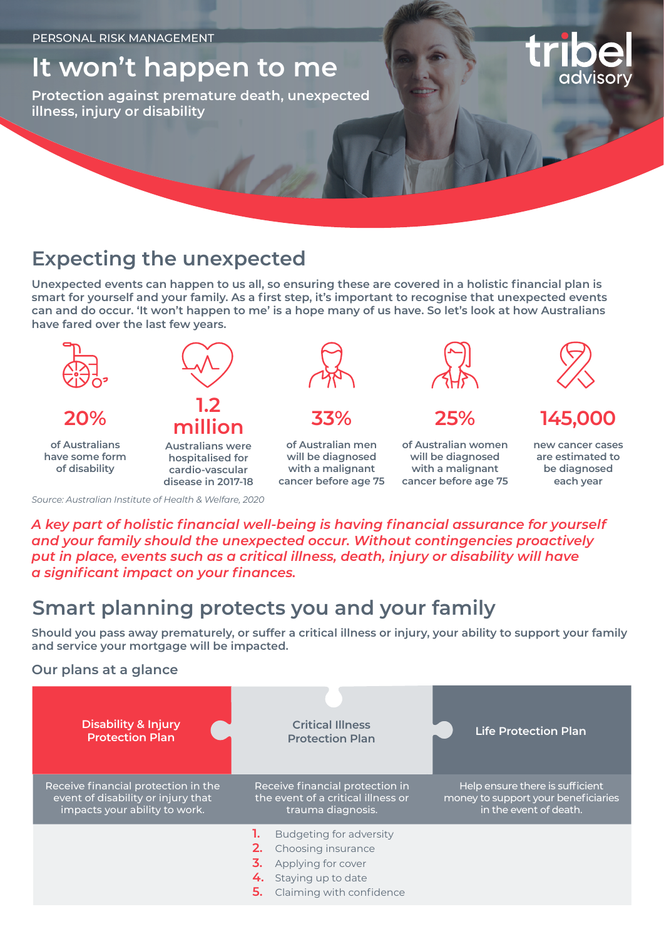# **It won't happen to me**

**Protection against premature death, unexpected illness, injury or disability**

### **Expecting the unexpected**

**Unexpected events can happen to us all, so ensuring these are covered in a holistic financial plan is smart for yourself and your family. As a first step, it's important to recognise that unexpected events can and do occur. 'It won't happen to me' is a hope many of us have. So let's look at how Australians have fared over the last few years.**



*A key part of holistic financial well-being is having financial assurance for yourself and your family should the unexpected occur. Without contingencies proactively put in place, events such as a critical illness, death, injury or disability will have a significant impact on your finances.*

## **Smart planning protects you and your family**

**Should you pass away prematurely, or suffer a critical illness or injury, your ability to support your family and service your mortgage will be impacted.**

### **Our plans at a glance**

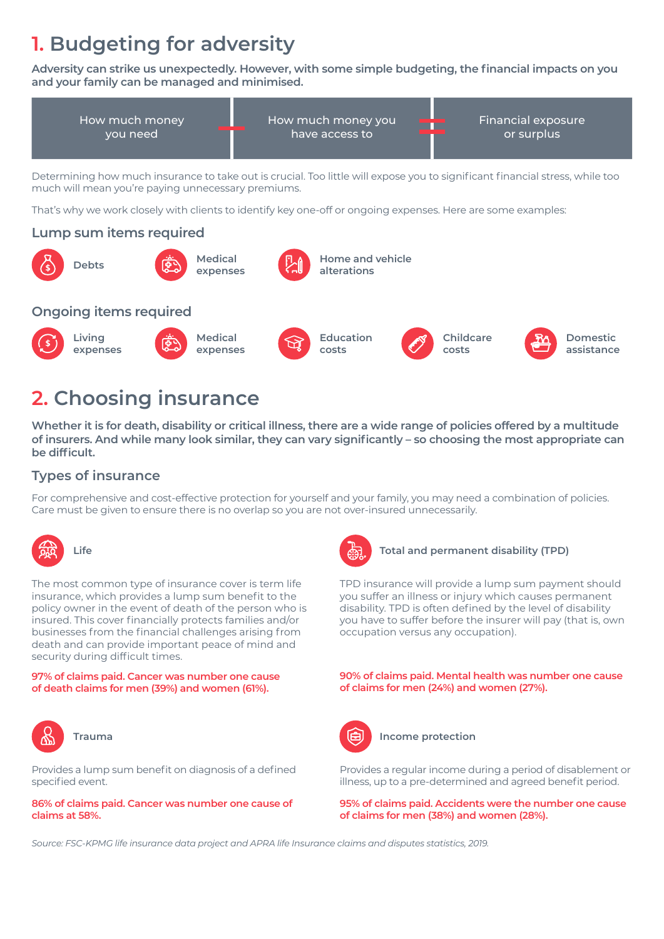# **1. Budgeting for adversity**

**Adversity can strike us unexpectedly. However, with some simple budgeting, the financial impacts on you and your family can be managed and minimised.**





## **2. Choosing insurance**

**Whether it is for death, disability or critical illness, there are a wide range of policies offered by a multitude of insurers. And while many look similar, they can vary significantly – so choosing the most appropriate can be difficult.**

### **Types of insurance**

For comprehensive and cost-effective protection for yourself and your family, you may need a combination of policies. Care must be given to ensure there is no overlap so you are not over-insured unnecessarily.



The most common type of insurance cover is term life insurance, which provides a lump sum benefit to the policy owner in the event of death of the person who is insured. This cover financially protects families and/or businesses from the financial challenges arising from death and can provide important peace of mind and security during difficult times.

**97% of claims paid. Cancer was number one cause of death claims for men (39%) and women (61%).**



Provides a lump sum benefit on diagnosis of a defined specified event.

#### **86% of claims paid. Cancer was number one cause of claims at 58%.**



#### **Life Total and permanent disability (TPD)**

TPD insurance will provide a lump sum payment should you suffer an illness or injury which causes permanent disability. TPD is often defined by the level of disability you have to suffer before the insurer will pay (that is, own occupation versus any occupation).

**90% of claims paid. Mental health was number one cause of claims for men (24%) and women (27%).**



**Income protection Income protection** 

Provides a regular income during a period of disablement or illness, up to a pre-determined and agreed benefit period.

**95% of claims paid. Accidents were the number one cause of claims for men (38%) and women (28%).**

*Source: FSC-KPMG life insurance data project and APRA life Insurance claims and disputes statistics, 2019.*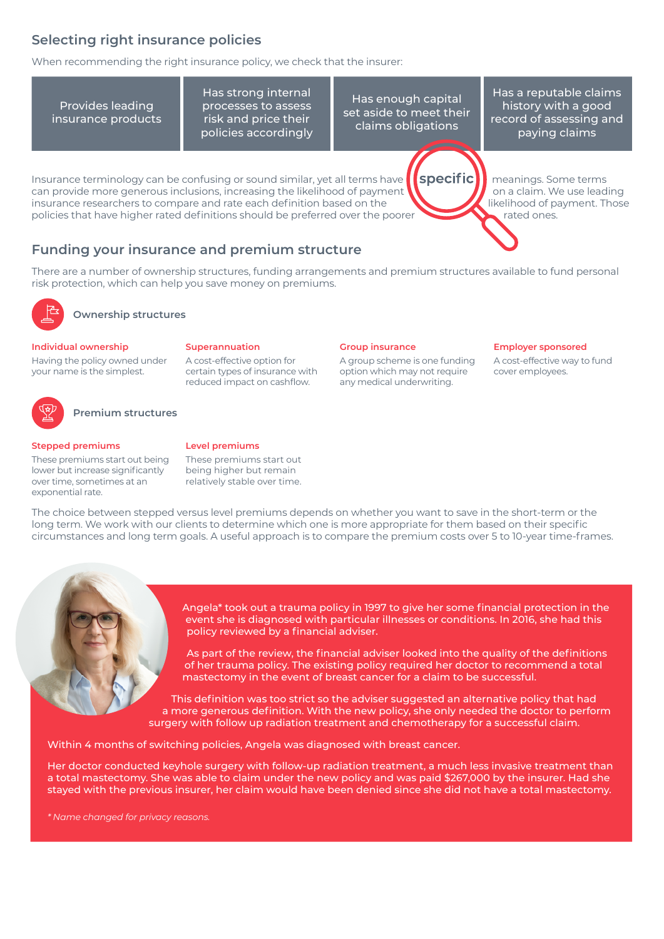### **Selecting right insurance policies**

When recommending the right insurance policy, we check that the insurer:

Provides leading insurance products

Has strong internal processes to assess risk and price their policies accordingly

Has enough capital set aside to meet their claims obligations

Has a reputable claims history with a good record of assessing and paying claims

Insurance terminology can be confusing or sound similar, yet all terms have  $\blacksquare$  specific  $\blacksquare$  meanings. Some terms can provide more generous inclusions, increasing the likelihood of payment  $\mathbf{N}$  and a claim. We use leading insurance researchers to compare and rate each definition based on the likelihood of payment. Those policies that have higher rated definitions should be preferred over the poorer rated ones.

**Employer sponsored**  A cost-effective way to fund

cover employees.

### **Funding your insurance and premium structure**

There are a number of ownership structures, funding arrangements and premium structures available to fund personal risk protection, which can help you save money on premiums.

**Group insurance**

A group scheme is one funding option which may not require any medical underwriting.



### **Ownership structures**

#### **Individual ownership**

Having the policy owned under your name is the simplest.



#### **Premium structures**

#### **Stepped premiums**

These premiums start out being lower but increase significantly over time, sometimes at an exponential rate.

#### **Level premiums**

**Superannuation**

A cost-effective option for certain types of insurance with reduced impact on cashflow.

These premiums start out being higher but remain relatively stable over time.

The choice between stepped versus level premiums depends on whether you want to save in the short-term or the long term. We work with our clients to determine which one is more appropriate for them based on their specific circumstances and long term goals. A useful approach is to compare the premium costs over 5 to 10-year time-frames.



Angela\* took out a trauma policy in 1997 to give her some financial protection in the event she is diagnosed with particular illnesses or conditions. In 2016, she had this policy reviewed by a financial adviser.

As part of the review, the financial adviser looked into the quality of the definitions of her trauma policy. The existing policy required her doctor to recommend a total mastectomy in the event of breast cancer for a claim to be successful.

This definition was too strict so the adviser suggested an alternative policy that had a more generous definition. With the new policy, she only needed the doctor to perform surgery with follow up radiation treatment and chemotherapy for a successful claim.

Within 4 months of switching policies, Angela was diagnosed with breast cancer.

Her doctor conducted keyhole surgery with follow-up radiation treatment, a much less invasive treatment than a total mastectomy. She was able to claim under the new policy and was paid \$267,000 by the insurer. Had she stayed with the previous insurer, her claim would have been denied since she did not have a total mastectomy.

*\* Name changed for privacy reasons.*